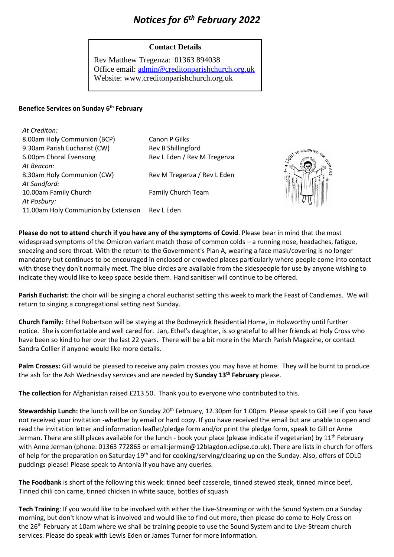# *Notices for 6 th February 2022*

## **Contact Details**

Rev Matthew Tregenza: 01363 894038 Office email: [admin@creditonparishchurch.org.uk](mailto:admin@creditonparishchurch.org.uk) Website: www.creditonparishchurch.org.uk

#### **Benefice Services on Sunday 6 th February**

| At Crediton:                        |                             |
|-------------------------------------|-----------------------------|
| 8.00am Holy Communion (BCP)         | Canon P Gilks               |
| 9.30am Parish Eucharist (CW)        | Rev B Shillingford          |
| 6.00pm Choral Evensong              | Rev L Eden / Rev M Tregenza |
| At Beacon:                          |                             |
| 8.30am Holy Communion (CW)          | Rev M Tregenza / Rev L Eden |
| At Sandford:                        |                             |
| 10.00am Family Church               | Family Church Team          |
| At Posbury:                         |                             |
| 11.00am Holy Communion by Extension | Rev L Eden                  |



**Please do not to attend church if you have any of the symptoms of Covid**. Please bear in mind that the most widespread symptoms of the Omicron variant match those of common colds – a running nose, headaches, fatigue, sneezing and sore throat. With the return to the Government's Plan A, wearing a face mask/covering is no longer mandatory but continues to be encouraged in enclosed or crowded places particularly where people come into contact with those they don't normally meet. The blue circles are available from the sidespeople for use by anyone wishing to indicate they would like to keep space beside them. Hand sanitiser will continue to be offered.

**Parish Eucharist:** the choir will be singing a choral eucharist setting this week to mark the Feast of Candlemas. We will return to singing a congregational setting next Sunday.

**Church Family:** Ethel Robertson will be staying at the Bodmeyrick Residential Home, in Holsworthy until further notice. She is comfortable and well cared for. Jan, Ethel's daughter, is so grateful to all her friends at Holy Cross who have been so kind to her over the last 22 years. There will be a bit more in the March Parish Magazine, or contact Sandra Collier if anyone would like more details.

**Palm Crosses:** Gill would be pleased to receive any palm crosses you may have at home. They will be burnt to produce the ash for the Ash Wednesday services and are needed by **Sunday 13th February** please.

**The collection** for Afghanistan raised £213.50. Thank you to everyone who contributed to this.

Stewardship Lunch: the lunch will be on Sunday 20<sup>th</sup> February, 12.30pm for 1.00pm. Please speak to Gill Lee if you have not received your invitation -whether by email or hard copy. If you have received the email but are unable to open and read the invitation letter and information leaflet/pledge form and/or print the pledge form, speak to Gill or Anne Jerman. There are still places available for the lunch - book your place (please indicate if vegetarian) by 11<sup>th</sup> February with Anne Jerman (phone: 01363 772865 or email:jerman@12blagdon.eclipse.co.uk). There are lists in church for offers of help for the preparation on Saturday 19<sup>th</sup> and for cooking/serving/clearing up on the Sunday. Also, offers of COLD puddings please! Please speak to Antonia if you have any queries.

**The Foodbank** is short of the following this week: tinned beef casserole, tinned stewed steak, tinned mince beef, Tinned chili con carne, tinned chicken in white sauce, bottles of squash

**Tech Training**: If you would like to be involved with either the Live-Streaming or with the Sound System on a Sunday morning, but don't know what is involved and would like to find out more, then please do come to Holy Cross on the 26<sup>th</sup> February at 10am where we shall be training people to use the Sound System and to Live-Stream church services. Please do speak with Lewis Eden or James Turner for more information.